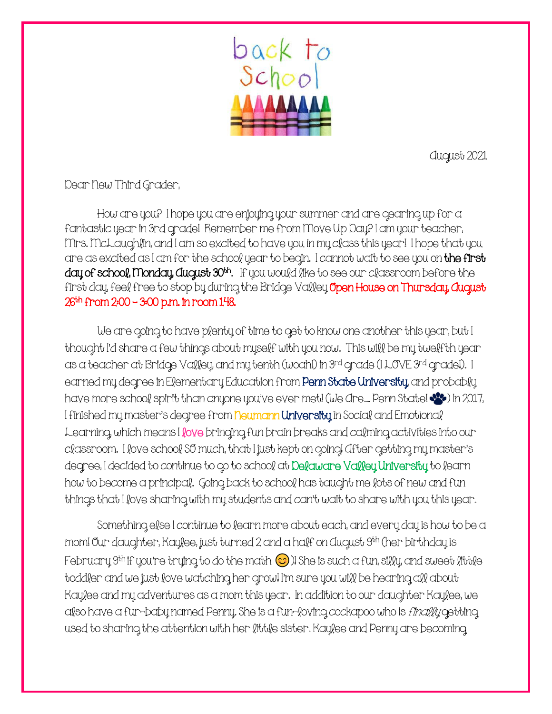

August 2021

Dear New Third Grader,

How are you? I hope you are enjoying your summer and are gearing up for a fantastic year in 3rd grade! Remember me from Move Up Day? I am your teacher, Mrs. McLaughlin, and I am so excited to have you in my class this year! I hope that you are as excited as I am for the school year to begin. I cannot wait to see you on the first day of school, Monday, August 30th. If you would like to see our classroom before the first day, feel free to stop by during the Bridge Valley **Open House on Thursday, August** 26th from 2:00 – 3:00 p.m. in room 148.

We are going to have plenty of time to get to know one another this year, but I thought I'd share a few things about myself with you now. This will be my twelfth year as a teacher at Bridge Valley, and my tenth (woah!) in 3rd grade (I LOVE 3rd grade!). I earned my degree in Elementary Education from **Penn State University**, and probably have more school spirit than anyone you've ever met! (We Are... Penn State!  $\vee\circ$ ) in 2017, I finished my master's degree from neumann University in Social and Emotional Learning, which means I fove bringing fun brain breaks and calming activities into our classroom. I love school SO much, that I just kept on going! After getting my master's degree, I decided to continue to go to school at Delaware Valley University to learn how to become a principal. Going back to school has taught me lots of new and fun things that I love sharing with my students and can't wait to share with you this year.

Something else I continue to learn more about each, and every day is how to be a mom! Our daughter, Kaylee, just turned 2 and a half on August 9th (her birthday is February  $9^{th}$  if you're trying to do the math  $\odot$  )! She is such a fun, silly, and sweet little toddler and we just love watching her grow! I'm sure you will be hearing all about Kaylee and my adventures as a mom this year. In addition to our daughter Kaylee, we also have a fur-baby named Penny. She is a fun-loving cockapoo who is *finally* getting used to sharing the attention with her little sister. Kaylee and Penny are becoming